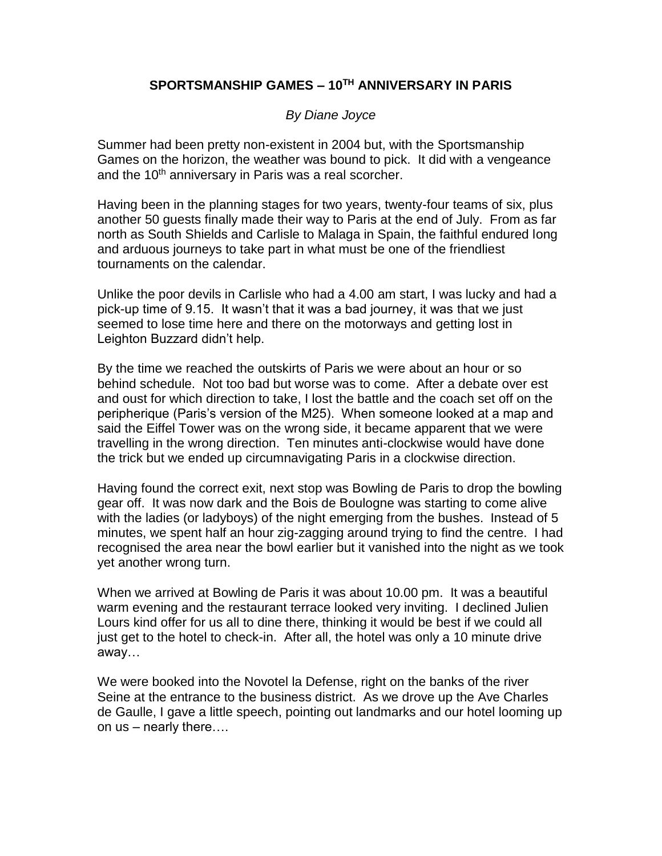## **SPORTSMANSHIP GAMES – 10TH ANNIVERSARY IN PARIS**

## *By Diane Joyce*

Summer had been pretty non-existent in 2004 but, with the Sportsmanship Games on the horizon, the weather was bound to pick. It did with a vengeance and the 10<sup>th</sup> anniversary in Paris was a real scorcher.

Having been in the planning stages for two years, twenty-four teams of six, plus another 50 guests finally made their way to Paris at the end of July. From as far north as South Shields and Carlisle to Malaga in Spain, the faithful endured long and arduous journeys to take part in what must be one of the friendliest tournaments on the calendar.

Unlike the poor devils in Carlisle who had a 4.00 am start, I was lucky and had a pick-up time of 9.15. It wasn't that it was a bad journey, it was that we just seemed to lose time here and there on the motorways and getting lost in Leighton Buzzard didn't help.

By the time we reached the outskirts of Paris we were about an hour or so behind schedule. Not too bad but worse was to come. After a debate over est and oust for which direction to take, I lost the battle and the coach set off on the peripherique (Paris's version of the M25). When someone looked at a map and said the Eiffel Tower was on the wrong side, it became apparent that we were travelling in the wrong direction. Ten minutes anti-clockwise would have done the trick but we ended up circumnavigating Paris in a clockwise direction.

Having found the correct exit, next stop was Bowling de Paris to drop the bowling gear off. It was now dark and the Bois de Boulogne was starting to come alive with the ladies (or ladyboys) of the night emerging from the bushes. Instead of 5 minutes, we spent half an hour zig-zagging around trying to find the centre. I had recognised the area near the bowl earlier but it vanished into the night as we took yet another wrong turn.

When we arrived at Bowling de Paris it was about 10.00 pm. It was a beautiful warm evening and the restaurant terrace looked very inviting. I declined Julien Lours kind offer for us all to dine there, thinking it would be best if we could all just get to the hotel to check-in. After all, the hotel was only a 10 minute drive away…

We were booked into the Novotel la Defense, right on the banks of the river Seine at the entrance to the business district. As we drove up the Ave Charles de Gaulle, I gave a little speech, pointing out landmarks and our hotel looming up on us – nearly there….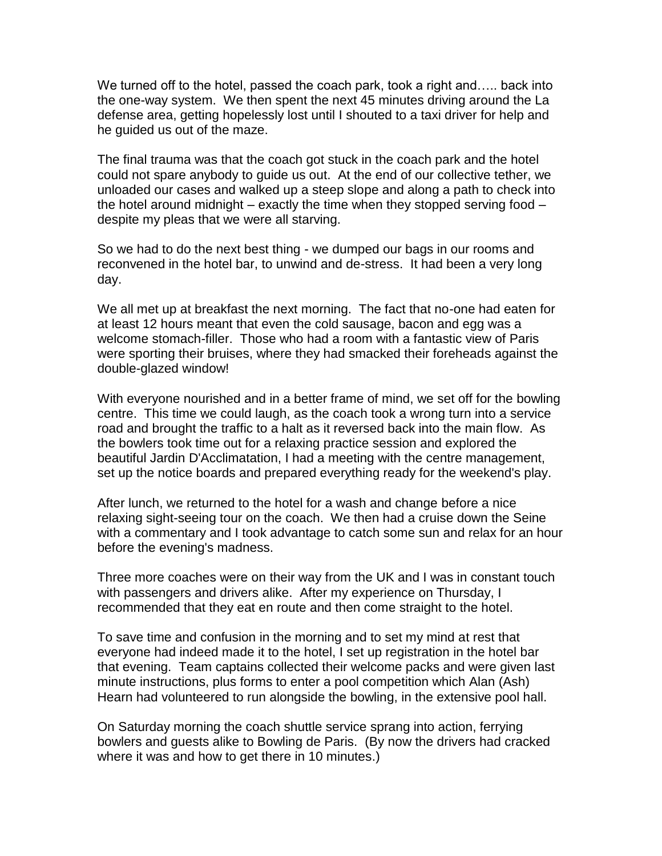We turned off to the hotel, passed the coach park, took a right and….. back into the one-way system. We then spent the next 45 minutes driving around the La defense area, getting hopelessly lost until I shouted to a taxi driver for help and he guided us out of the maze.

The final trauma was that the coach got stuck in the coach park and the hotel could not spare anybody to guide us out. At the end of our collective tether, we unloaded our cases and walked up a steep slope and along a path to check into the hotel around midnight – exactly the time when they stopped serving food – despite my pleas that we were all starving.

So we had to do the next best thing - we dumped our bags in our rooms and reconvened in the hotel bar, to unwind and de-stress. It had been a very long day.

We all met up at breakfast the next morning. The fact that no-one had eaten for at least 12 hours meant that even the cold sausage, bacon and egg was a welcome stomach-filler. Those who had a room with a fantastic view of Paris were sporting their bruises, where they had smacked their foreheads against the double-glazed window!

With everyone nourished and in a better frame of mind, we set off for the bowling centre. This time we could laugh, as the coach took a wrong turn into a service road and brought the traffic to a halt as it reversed back into the main flow. As the bowlers took time out for a relaxing practice session and explored the beautiful Jardin D'Acclimatation, I had a meeting with the centre management, set up the notice boards and prepared everything ready for the weekend's play.

After lunch, we returned to the hotel for a wash and change before a nice relaxing sight-seeing tour on the coach. We then had a cruise down the Seine with a commentary and I took advantage to catch some sun and relax for an hour before the evening's madness.

Three more coaches were on their way from the UK and I was in constant touch with passengers and drivers alike. After my experience on Thursday, I recommended that they eat en route and then come straight to the hotel.

To save time and confusion in the morning and to set my mind at rest that everyone had indeed made it to the hotel, I set up registration in the hotel bar that evening. Team captains collected their welcome packs and were given last minute instructions, plus forms to enter a pool competition which Alan (Ash) Hearn had volunteered to run alongside the bowling, in the extensive pool hall.

On Saturday morning the coach shuttle service sprang into action, ferrying bowlers and guests alike to Bowling de Paris. (By now the drivers had cracked where it was and how to get there in 10 minutes.)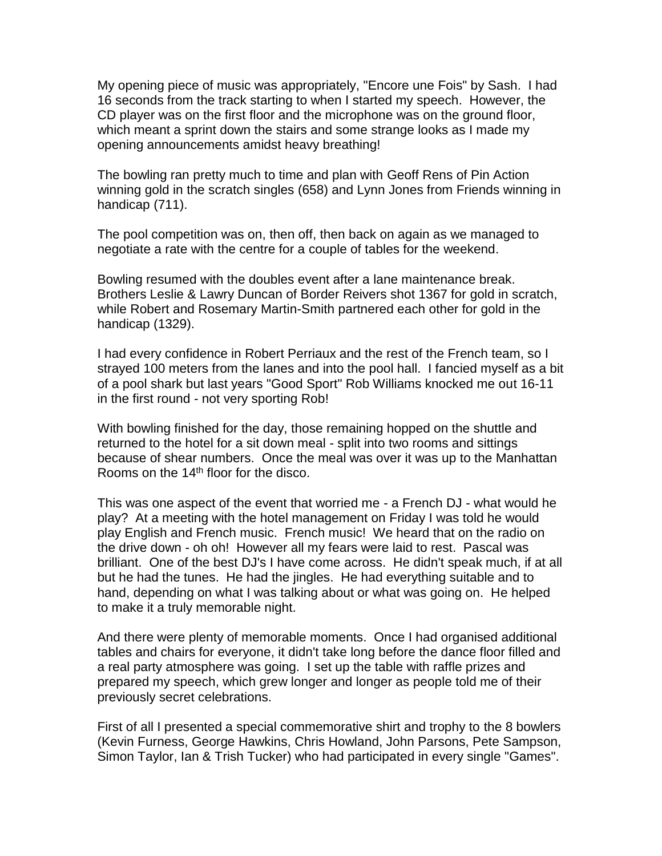My opening piece of music was appropriately, "Encore une Fois" by Sash. I had 16 seconds from the track starting to when I started my speech. However, the CD player was on the first floor and the microphone was on the ground floor, which meant a sprint down the stairs and some strange looks as I made my opening announcements amidst heavy breathing!

The bowling ran pretty much to time and plan with Geoff Rens of Pin Action winning gold in the scratch singles (658) and Lynn Jones from Friends winning in handicap (711).

The pool competition was on, then off, then back on again as we managed to negotiate a rate with the centre for a couple of tables for the weekend.

Bowling resumed with the doubles event after a lane maintenance break. Brothers Leslie & Lawry Duncan of Border Reivers shot 1367 for gold in scratch, while Robert and Rosemary Martin-Smith partnered each other for gold in the handicap (1329).

I had every confidence in Robert Perriaux and the rest of the French team, so I strayed 100 meters from the lanes and into the pool hall. I fancied myself as a bit of a pool shark but last years "Good Sport" Rob Williams knocked me out 16-11 in the first round - not very sporting Rob!

With bowling finished for the day, those remaining hopped on the shuttle and returned to the hotel for a sit down meal - split into two rooms and sittings because of shear numbers. Once the meal was over it was up to the Manhattan Rooms on the 14th floor for the disco.

This was one aspect of the event that worried me - a French DJ - what would he play? At a meeting with the hotel management on Friday I was told he would play English and French music. French music! We heard that on the radio on the drive down - oh oh! However all my fears were laid to rest. Pascal was brilliant. One of the best DJ's I have come across. He didn't speak much, if at all but he had the tunes. He had the jingles. He had everything suitable and to hand, depending on what I was talking about or what was going on. He helped to make it a truly memorable night.

And there were plenty of memorable moments. Once I had organised additional tables and chairs for everyone, it didn't take long before the dance floor filled and a real party atmosphere was going. I set up the table with raffle prizes and prepared my speech, which grew longer and longer as people told me of their previously secret celebrations.

First of all I presented a special commemorative shirt and trophy to the 8 bowlers (Kevin Furness, George Hawkins, Chris Howland, John Parsons, Pete Sampson, Simon Taylor, Ian & Trish Tucker) who had participated in every single "Games".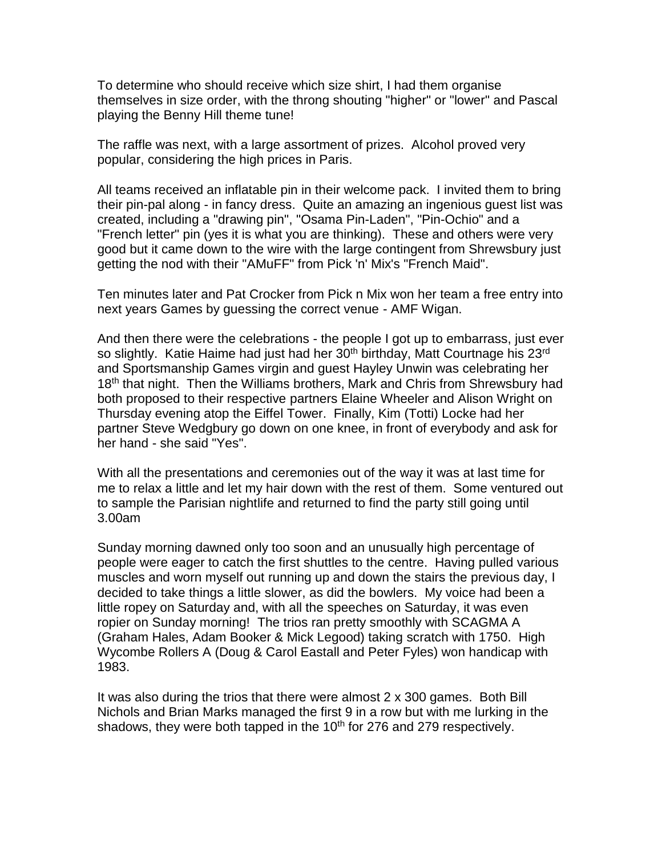To determine who should receive which size shirt, I had them organise themselves in size order, with the throng shouting "higher" or "lower" and Pascal playing the Benny Hill theme tune!

The raffle was next, with a large assortment of prizes. Alcohol proved very popular, considering the high prices in Paris.

All teams received an inflatable pin in their welcome pack. I invited them to bring their pin-pal along - in fancy dress. Quite an amazing an ingenious guest list was created, including a "drawing pin", "Osama Pin-Laden", "Pin-Ochio" and a "French letter" pin (yes it is what you are thinking). These and others were very good but it came down to the wire with the large contingent from Shrewsbury just getting the nod with their "AMuFF" from Pick 'n' Mix's "French Maid".

Ten minutes later and Pat Crocker from Pick n Mix won her team a free entry into next years Games by guessing the correct venue - AMF Wigan.

And then there were the celebrations - the people I got up to embarrass, just ever so slightly. Katie Haime had just had her 30<sup>th</sup> birthday, Matt Courtnage his 23<sup>rd</sup> and Sportsmanship Games virgin and guest Hayley Unwin was celebrating her 18<sup>th</sup> that night. Then the Williams brothers, Mark and Chris from Shrewsbury had both proposed to their respective partners Elaine Wheeler and Alison Wright on Thursday evening atop the Eiffel Tower. Finally, Kim (Totti) Locke had her partner Steve Wedgbury go down on one knee, in front of everybody and ask for her hand - she said "Yes".

With all the presentations and ceremonies out of the way it was at last time for me to relax a little and let my hair down with the rest of them. Some ventured out to sample the Parisian nightlife and returned to find the party still going until 3.00am

Sunday morning dawned only too soon and an unusually high percentage of people were eager to catch the first shuttles to the centre. Having pulled various muscles and worn myself out running up and down the stairs the previous day, I decided to take things a little slower, as did the bowlers. My voice had been a little ropey on Saturday and, with all the speeches on Saturday, it was even ropier on Sunday morning! The trios ran pretty smoothly with SCAGMA A (Graham Hales, Adam Booker & Mick Legood) taking scratch with 1750. High Wycombe Rollers A (Doug & Carol Eastall and Peter Fyles) won handicap with 1983.

It was also during the trios that there were almost 2 x 300 games. Both Bill Nichols and Brian Marks managed the first 9 in a row but with me lurking in the shadows, they were both tapped in the  $10<sup>th</sup>$  for 276 and 279 respectively.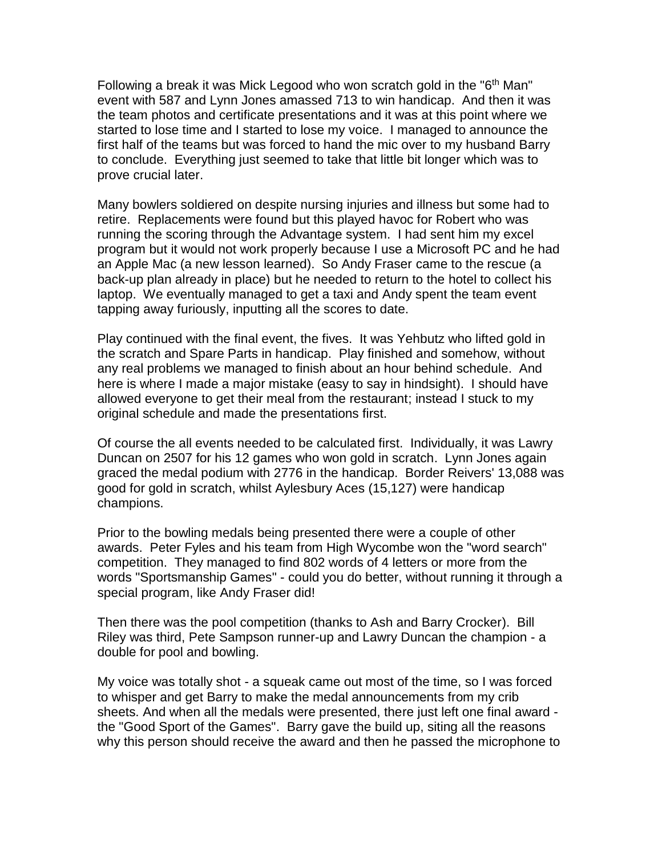Following a break it was Mick Legood who won scratch gold in the "6<sup>th</sup> Man" event with 587 and Lynn Jones amassed 713 to win handicap. And then it was the team photos and certificate presentations and it was at this point where we started to lose time and I started to lose my voice. I managed to announce the first half of the teams but was forced to hand the mic over to my husband Barry to conclude. Everything just seemed to take that little bit longer which was to prove crucial later.

Many bowlers soldiered on despite nursing injuries and illness but some had to retire. Replacements were found but this played havoc for Robert who was running the scoring through the Advantage system. I had sent him my excel program but it would not work properly because I use a Microsoft PC and he had an Apple Mac (a new lesson learned). So Andy Fraser came to the rescue (a back-up plan already in place) but he needed to return to the hotel to collect his laptop. We eventually managed to get a taxi and Andy spent the team event tapping away furiously, inputting all the scores to date.

Play continued with the final event, the fives. It was Yehbutz who lifted gold in the scratch and Spare Parts in handicap. Play finished and somehow, without any real problems we managed to finish about an hour behind schedule. And here is where I made a major mistake (easy to say in hindsight). I should have allowed everyone to get their meal from the restaurant; instead I stuck to my original schedule and made the presentations first.

Of course the all events needed to be calculated first. Individually, it was Lawry Duncan on 2507 for his 12 games who won gold in scratch. Lynn Jones again graced the medal podium with 2776 in the handicap. Border Reivers' 13,088 was good for gold in scratch, whilst Aylesbury Aces (15,127) were handicap champions.

Prior to the bowling medals being presented there were a couple of other awards. Peter Fyles and his team from High Wycombe won the "word search" competition. They managed to find 802 words of 4 letters or more from the words "Sportsmanship Games" - could you do better, without running it through a special program, like Andy Fraser did!

Then there was the pool competition (thanks to Ash and Barry Crocker). Bill Riley was third, Pete Sampson runner-up and Lawry Duncan the champion - a double for pool and bowling.

My voice was totally shot - a squeak came out most of the time, so I was forced to whisper and get Barry to make the medal announcements from my crib sheets. And when all the medals were presented, there just left one final award the "Good Sport of the Games". Barry gave the build up, siting all the reasons why this person should receive the award and then he passed the microphone to